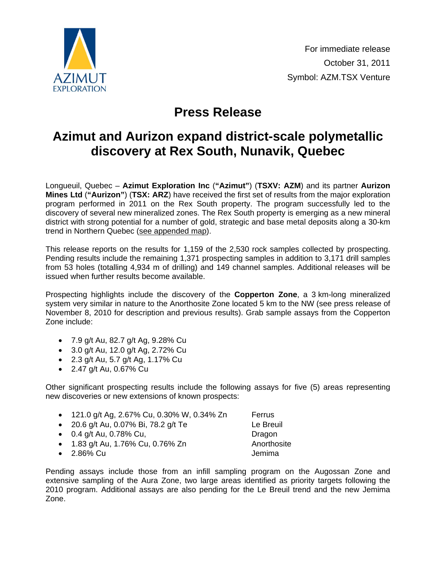

## **Press Release**

## **Azimut and Aurizon expand district-scale polymetallic discovery at Rex South, Nunavik, Quebec**

Longueuil, Quebec – **Azimut Exploration Inc** (**"Azimut"**) (**TSXV: AZM**) and its partner **Aurizon Mines Ltd** (**"Aurizon"**) (**TSX: ARZ**) have received the first set of results from the major exploration program performed in 2011 on the Rex South property. The program successfully led to the discovery of several new mineralized zones. The Rex South property is emerging as a new mineral district with strong potential for a number of gold, strategic and base metal deposits along a 30-km trend in Northern Quebec [\(see appended map\)](http://www.azimut-exploration.com/en/presentations/AZM_ARZ_RexSouth_fig_2011-10-31.pdf).

This release reports on the results for 1,159 of the 2,530 rock samples collected by prospecting. Pending results include the remaining 1,371 prospecting samples in addition to 3,171 drill samples from 53 holes (totalling 4,934 m of drilling) and 149 channel samples. Additional releases will be issued when further results become available.

Prospecting highlights include the discovery of the **Copperton Zone**, a 3 km-long mineralized system very similar in nature to the Anorthosite Zone located 5 km to the NW (see press release of November 8, 2010 for description and previous results). Grab sample assays from the Copperton Zone include:

- 7.9 g/t Au, 82.7 g/t Ag, 9.28% Cu
- 3.0 g/t Au, 12.0 g/t Ag, 2.72% Cu
- 2.3 g/t Au, 5.7 g/t Ag, 1.17% Cu
- 2.47 g/t Au, 0.67% Cu

Other significant prospecting results include the following assays for five (5) areas representing new discoveries or new extensions of known prospects:

| • 121.0 g/t Ag, 2.67% Cu, 0.30% W, 0.34% Zn | Ferrus      |
|---------------------------------------------|-------------|
| • 20.6 g/t Au, 0.07% Bi, 78.2 g/t Te        | Le Breuil   |
| • $0.4$ g/t Au, 0.78% Cu,                   | Dragon      |
| • 1.83 g/t Au, 1.76% Cu, 0.76% Zn           | Anorthosite |
| $\bullet$ 2.86% Cu                          | Jemima      |

Pending assays include those from an infill sampling program on the Augossan Zone and extensive sampling of the Aura Zone, two large areas identified as priority targets following the 2010 program. Additional assays are also pending for the Le Breuil trend and the new Jemima Zone.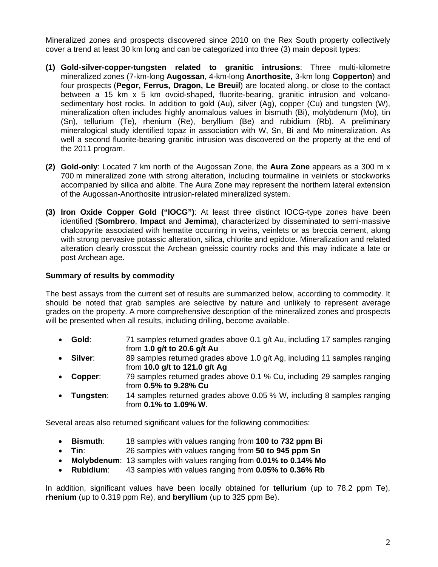Mineralized zones and prospects discovered since 2010 on the Rex South property collectively cover a trend at least 30 km long and can be categorized into three (3) main deposit types:

- **(1) Gold-silver-copper-tungsten related to granitic intrusions**: Three multi-kilometre mineralized zones (7-km-long **Augossan**, 4-km-long **Anorthosite,** 3-km long **Copperton**) and four prospects (**Pegor, Ferrus, Dragon, Le Breuil**) are located along, or close to the contact between a 15 km x 5 km ovoid-shaped, fluorite-bearing, granitic intrusion and volcanosedimentary host rocks. In addition to gold (Au), silver (Ag), copper (Cu) and tungsten (W), mineralization often includes highly anomalous values in bismuth (Bi), molybdenum (Mo), tin (Sn), tellurium (Te), rhenium (Re), beryllium (Be) and rubidium (Rb). A preliminary mineralogical study identified topaz in association with W, Sn, Bi and Mo mineralization. As well a second fluorite-bearing granitic intrusion was discovered on the property at the end of the 2011 program.
- **(2) Gold-only**: Located 7 km north of the Augossan Zone, the **Aura Zone** appears as a 300 m x 700 m mineralized zone with strong alteration, including tourmaline in veinlets or stockworks accompanied by silica and albite. The Aura Zone may represent the northern lateral extension of the Augossan-Anorthosite intrusion-related mineralized system.
- **(3) Iron Oxide Copper Gold ("IOCG")**: At least three distinct IOCG-type zones have been identified (**Sombrero**, **Impact** and **Jemima**), characterized by disseminated to semi-massive chalcopyrite associated with hematite occurring in veins, veinlets or as breccia cement, along with strong pervasive potassic alteration, silica, chlorite and epidote. Mineralization and related alteration clearly crosscut the Archean gneissic country rocks and this may indicate a late or post Archean age.

## **Summary of results by commodity**

The best assays from the current set of results are summarized below, according to commodity. It should be noted that grab samples are selective by nature and unlikely to represent average grades on the property. A more comprehensive description of the mineralized zones and prospects will be presented when all results, including drilling, become available.

- **Gold**: 71 samples returned grades above 0.1 g/t Au, including 17 samples ranging from **1.0 g/t to 20.6 g/t Au**
- **Silver:** 89 samples returned grades above 1.0 g/t Ag, including 11 samples ranging from **10.0 g/t to 121.0 g/t Ag**
- **Copper**: 79 samples returned grades above 0.1 % Cu, including 29 samples ranging from **0.5% to 9.28% Cu**
- **Tungsten**: 14 samples returned grades above 0.05 % W, including 8 samples ranging from **0.1% to 1.09% W**.

Several areas also returned significant values for the following commodities:

- **Bismuth**: 18 samples with values ranging from **100 to 732 ppm Bi**
- **Tin**: 26 samples with values ranging from **50 to 945 ppm Sn**
- **Molybdenum**: 13 samples with values ranging from **0.01% to 0.14% Mo**
- **Rubidium**: 43 samples with values ranging from **0.05% to 0.36% Rb**

In addition, significant values have been locally obtained for **tellurium** (up to 78.2 ppm Te), **rhenium** (up to 0.319 ppm Re), and **beryllium** (up to 325 ppm Be).